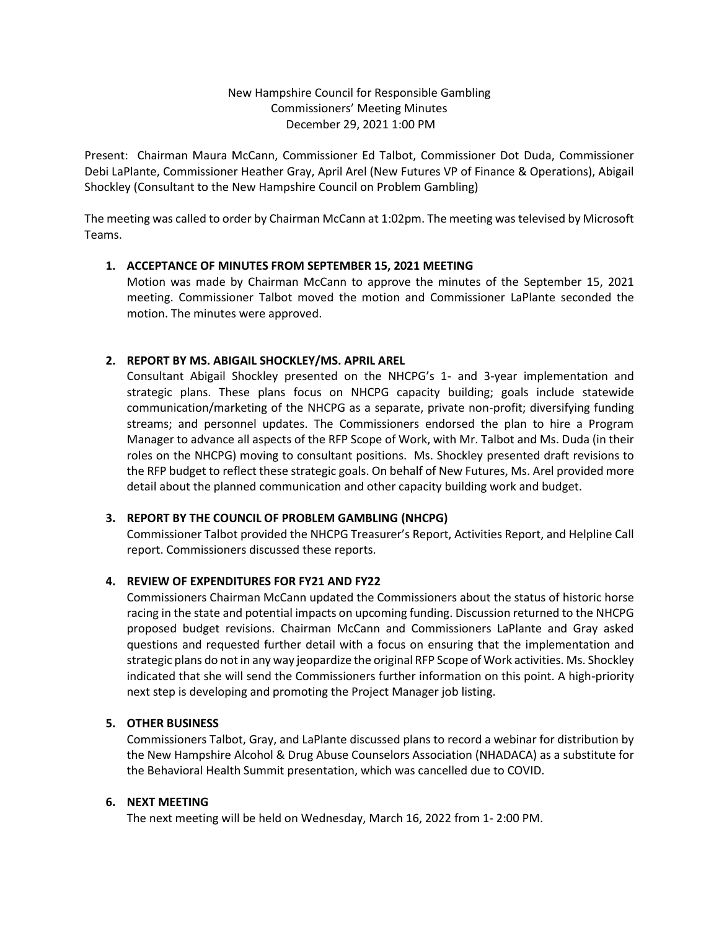### New Hampshire Council for Responsible Gambling Commissioners' Meeting Minutes December 29, 2021 1:00 PM

Present: Chairman Maura McCann, Commissioner Ed Talbot, Commissioner Dot Duda, Commissioner Debi LaPlante, Commissioner Heather Gray, April Arel (New Futures VP of Finance & Operations), Abigail Shockley (Consultant to the New Hampshire Council on Problem Gambling)

The meeting was called to order by Chairman McCann at 1:02pm. The meeting was televised by Microsoft Teams.

### **1. ACCEPTANCE OF MINUTES FROM SEPTEMBER 15, 2021 MEETING**

Motion was made by Chairman McCann to approve the minutes of the September 15, 2021 meeting. Commissioner Talbot moved the motion and Commissioner LaPlante seconded the motion. The minutes were approved.

### **2. REPORT BY MS. ABIGAIL SHOCKLEY/MS. APRIL AREL**

Consultant Abigail Shockley presented on the NHCPG's 1- and 3-year implementation and strategic plans. These plans focus on NHCPG capacity building; goals include statewide communication/marketing of the NHCPG as a separate, private non-profit; diversifying funding streams; and personnel updates. The Commissioners endorsed the plan to hire a Program Manager to advance all aspects of the RFP Scope of Work, with Mr. Talbot and Ms. Duda (in their roles on the NHCPG) moving to consultant positions. Ms. Shockley presented draft revisions to the RFP budget to reflect these strategic goals. On behalf of New Futures, Ms. Arel provided more detail about the planned communication and other capacity building work and budget.

# **3. REPORT BY THE COUNCIL OF PROBLEM GAMBLING (NHCPG)**

Commissioner Talbot provided the NHCPG Treasurer's Report, Activities Report, and Helpline Call report. Commissioners discussed these reports.

# **4. REVIEW OF EXPENDITURES FOR FY21 AND FY22**

Commissioners Chairman McCann updated the Commissioners about the status of historic horse racing in the state and potential impacts on upcoming funding. Discussion returned to the NHCPG proposed budget revisions. Chairman McCann and Commissioners LaPlante and Gray asked questions and requested further detail with a focus on ensuring that the implementation and strategic plans do not in any way jeopardize the original RFP Scope of Work activities. Ms. Shockley indicated that she will send the Commissioners further information on this point. A high-priority next step is developing and promoting the Project Manager job listing.

### **5. OTHER BUSINESS**

Commissioners Talbot, Gray, and LaPlante discussed plans to record a webinar for distribution by the New Hampshire Alcohol & Drug Abuse Counselors Association (NHADACA) as a substitute for the Behavioral Health Summit presentation, which was cancelled due to COVID.

### **6. NEXT MEETING**

The next meeting will be held on Wednesday, March 16, 2022 from 1- 2:00 PM.